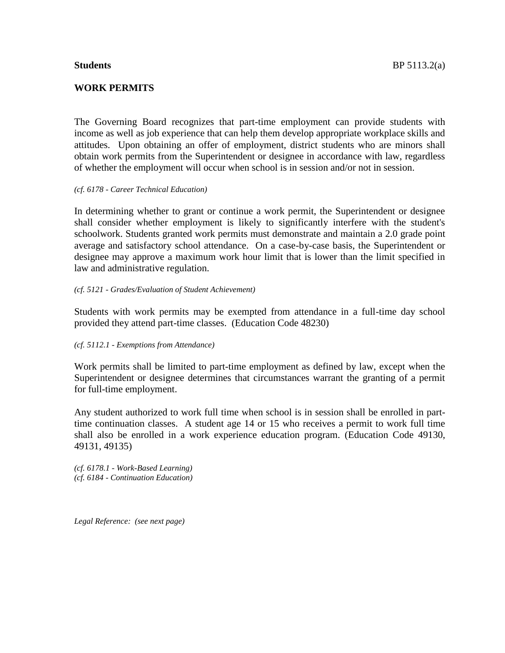# **WORK PERMITS**

The Governing Board recognizes that part-time employment can provide students with income as well as job experience that can help them develop appropriate workplace skills and attitudes. Upon obtaining an offer of employment, district students who are minors shall obtain work permits from the Superintendent or designee in accordance with law, regardless of whether the employment will occur when school is in session and/or not in session.

#### *(cf. 6178 - Career Technical Education)*

In determining whether to grant or continue a work permit, the Superintendent or designee shall consider whether employment is likely to significantly interfere with the student's schoolwork. Students granted work permits must demonstrate and maintain a 2.0 grade point average and satisfactory school attendance. On a case-by-case basis, the Superintendent or designee may approve a maximum work hour limit that is lower than the limit specified in law and administrative regulation.

# *(cf. 5121 - Grades/Evaluation of Student Achievement)*

Students with work permits may be exempted from attendance in a full-time day school provided they attend part-time classes. (Education Code 48230)

# *(cf. 5112.1 - Exemptions from Attendance)*

Work permits shall be limited to part-time employment as defined by law, except when the Superintendent or designee determines that circumstances warrant the granting of a permit for full-time employment.

Any student authorized to work full time when school is in session shall be enrolled in parttime continuation classes. A student age 14 or 15 who receives a permit to work full time shall also be enrolled in a work experience education program. (Education Code 49130, 49131, 49135)

*(cf. 6178.1 - Work-Based Learning) (cf. 6184 - Continuation Education)*

*Legal Reference: (see next page)*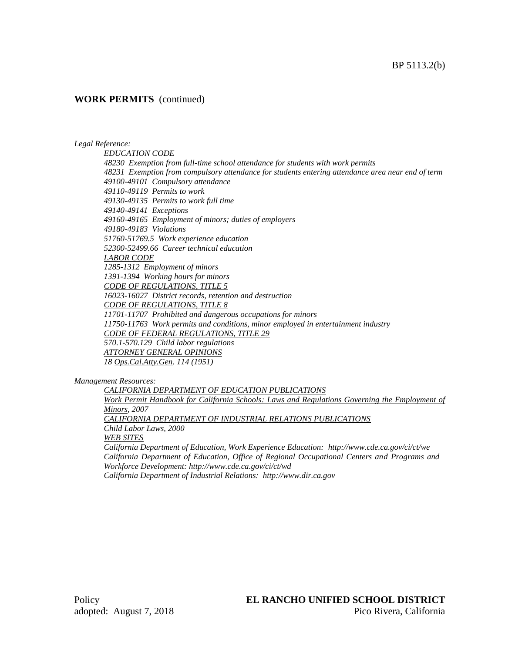# **WORK PERMITS** (continued)

#### *Legal Reference:*

*EDUCATION CODE 48230 Exemption from full-time school attendance for students with work permits 48231 Exemption from compulsory attendance for students entering attendance area near end of term 49100-49101 Compulsory attendance 49110-49119 Permits to work 49130-49135 Permits to work full time 49140-49141 Exceptions 49160-49165 Employment of minors; duties of employers 49180-49183 Violations 51760-51769.5 Work experience education 52300-52499.66 Career technical education LABOR CODE 1285-1312 Employment of minors 1391-1394 Working hours for minors CODE OF REGULATIONS, TITLE 5 16023-16027 District records, retention and destruction CODE OF REGULATIONS, TITLE 8 11701-11707 Prohibited and dangerous occupations for minors 11750-11763 Work permits and conditions, minor employed in entertainment industry CODE OF FEDERAL REGULATIONS, TITLE 29 570.1-570.129 Child labor regulations ATTORNEY GENERAL OPINIONS 18 Ops.Cal.Atty.Gen. 114 (1951)*

*Management Resources:*

*CALIFORNIA DEPARTMENT OF EDUCATION PUBLICATIONS Work Permit Handbook for California Schools: Laws and Regulations Governing the Employment of Minors, 2007 CALIFORNIA DEPARTMENT OF INDUSTRIAL RELATIONS PUBLICATIONS Child Labor Laws, 2000 WEB SITES California Department of Education, Work Experience Education: http://www.cde.ca.gov/ci/ct/we California Department of Education, Office of Regional Occupational Centers and Programs and Workforce Development: http://www.cde.ca.gov/ci/ct/wd*

*California Department of Industrial Relations: http://www.dir.ca.gov*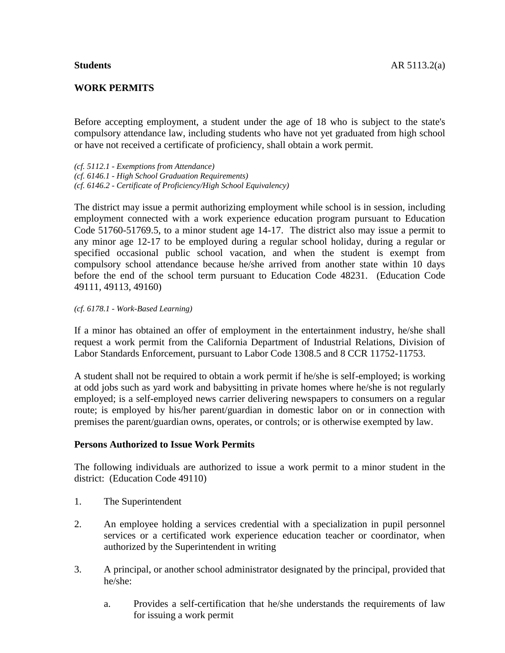# **WORK PERMITS**

Before accepting employment, a student under the age of 18 who is subject to the state's compulsory attendance law, including students who have not yet graduated from high school or have not received a certificate of proficiency, shall obtain a work permit.

*(cf. 5112.1 - Exemptions from Attendance) (cf. 6146.1 - High School Graduation Requirements) (cf. 6146.2 - Certificate of Proficiency/High School Equivalency)*

The district may issue a permit authorizing employment while school is in session, including employment connected with a work experience education program pursuant to Education Code 51760-51769.5, to a minor student age 14-17. The district also may issue a permit to any minor age 12-17 to be employed during a regular school holiday, during a regular or specified occasional public school vacation, and when the student is exempt from compulsory school attendance because he/she arrived from another state within 10 days before the end of the school term pursuant to Education Code 48231. (Education Code 49111, 49113, 49160)

# *(cf. 6178.1 - Work-Based Learning)*

If a minor has obtained an offer of employment in the entertainment industry, he/she shall request a work permit from the California Department of Industrial Relations, Division of Labor Standards Enforcement, pursuant to Labor Code 1308.5 and 8 CCR 11752-11753.

A student shall not be required to obtain a work permit if he/she is self-employed; is working at odd jobs such as yard work and babysitting in private homes where he/she is not regularly employed; is a self-employed news carrier delivering newspapers to consumers on a regular route; is employed by his/her parent/guardian in domestic labor on or in connection with premises the parent/guardian owns, operates, or controls; or is otherwise exempted by law.

# **Persons Authorized to Issue Work Permits**

The following individuals are authorized to issue a work permit to a minor student in the district: (Education Code 49110)

- 1. The Superintendent
- 2. An employee holding a services credential with a specialization in pupil personnel services or a certificated work experience education teacher or coordinator, when authorized by the Superintendent in writing
- 3. A principal, or another school administrator designated by the principal, provided that he/she:
	- a. Provides a self-certification that he/she understands the requirements of law for issuing a work permit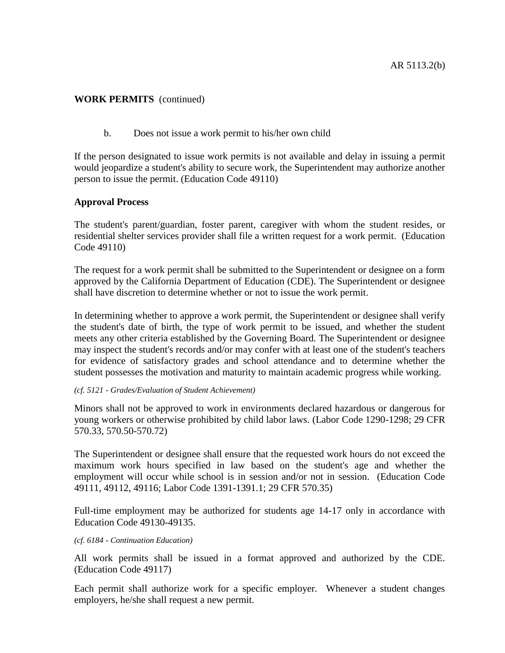# **WORK PERMITS** (continued)

b. Does not issue a work permit to his/her own child

If the person designated to issue work permits is not available and delay in issuing a permit would jeopardize a student's ability to secure work, the Superintendent may authorize another person to issue the permit. (Education Code 49110)

# **Approval Process**

The student's parent/guardian, foster parent, caregiver with whom the student resides, or residential shelter services provider shall file a written request for a work permit. (Education Code 49110)

The request for a work permit shall be submitted to the Superintendent or designee on a form approved by the California Department of Education (CDE). The Superintendent or designee shall have discretion to determine whether or not to issue the work permit.

In determining whether to approve a work permit, the Superintendent or designee shall verify the student's date of birth, the type of work permit to be issued, and whether the student meets any other criteria established by the Governing Board. The Superintendent or designee may inspect the student's records and/or may confer with at least one of the student's teachers for evidence of satisfactory grades and school attendance and to determine whether the student possesses the motivation and maturity to maintain academic progress while working.

# *(cf. 5121 - Grades/Evaluation of Student Achievement)*

Minors shall not be approved to work in environments declared hazardous or dangerous for young workers or otherwise prohibited by child labor laws. (Labor Code 1290-1298; 29 CFR 570.33, 570.50-570.72)

The Superintendent or designee shall ensure that the requested work hours do not exceed the maximum work hours specified in law based on the student's age and whether the employment will occur while school is in session and/or not in session. (Education Code 49111, 49112, 49116; Labor Code 1391-1391.1; 29 CFR 570.35)

Full-time employment may be authorized for students age 14-17 only in accordance with Education Code 49130-49135.

#### *(cf. 6184 - Continuation Education)*

All work permits shall be issued in a format approved and authorized by the CDE. (Education Code 49117)

Each permit shall authorize work for a specific employer. Whenever a student changes employers, he/she shall request a new permit.